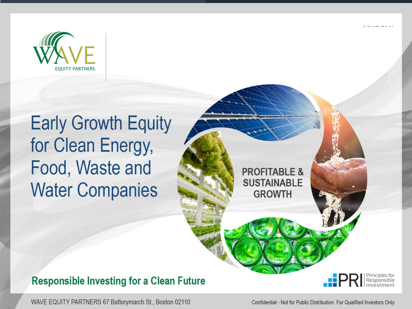

# For Cloop Eporal **\$150 Million of Limited Partnership Interests Water Companies**

Responsible Investing for a Clean Future



**WATER** 

WAVE EQUITY PARTNERS 67 Batterymarch St., Boston 02110

Confidential - Not for Public Distribution. For Qualified Investors Only

**CLEAN** ENERGY

**PROFITABLE** 

**ROFITABLE & <b>SUSTAINABLE** 

**SUSTAINABLE** 

**GROWTH** 

**WASTE**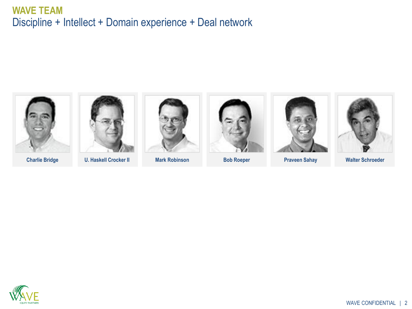#### **WAVE TEAM**  Discipline + Intellect + Domain experience + Deal network



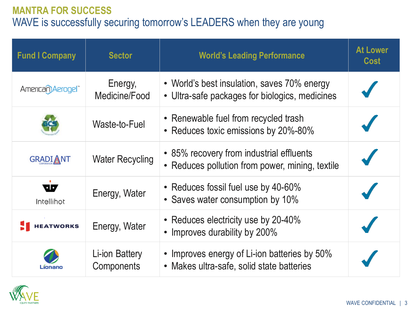### **MANTRA FOR SUCCESS** WAVE is successfully securing tomorrow's LEADERS when they are young

| <b>Fund I Company</b> | <b>Sector</b>                       | <b>World's Leading Performance</b>                                                            | <b>At Lower</b><br><b>Cost</b> |
|-----------------------|-------------------------------------|-----------------------------------------------------------------------------------------------|--------------------------------|
| American) Aerogel     | Energy,<br>Medicine/Food            | • World's best insulation, saves 70% energy<br>• Ultra-safe packages for biologics, medicines |                                |
|                       | Waste-to-Fuel                       | • Renewable fuel from recycled trash<br>• Reduces toxic emissions by 20%-80%                  |                                |
| <b>GRADIANT</b>       | <b>Water Recycling</b>              | • 85% recovery from industrial effluents<br>• Reduces pollution from power, mining, textile   |                                |
| uг<br>Intellihot      | Energy, Water                       | • Reduces fossil fuel use by 40-60%<br>• Saves water consumption by 10%                       |                                |
| <b>HEATWORKS</b>      | Energy, Water                       | • Reduces electricity use by 20-40%<br>• Improves durability by 200%                          |                                |
|                       | Li-ion Battery<br><b>Components</b> | • Improves energy of Li-ion batteries by 50%<br>• Makes ultra-safe, solid state batteries     |                                |

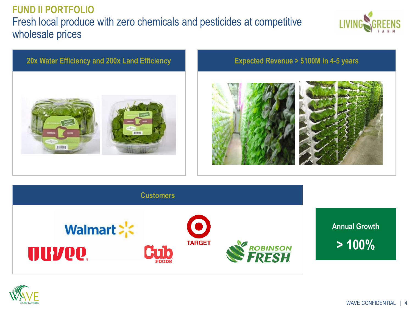## **FUND II PORTFOLIO** Fresh local produce with zero chemicals and pesticides at competitive wholesale prices



#### **20x Water Efficiency and 200x Land Efficiency Expected Revenue > \$100M in 4-5 years**









**> 100%**